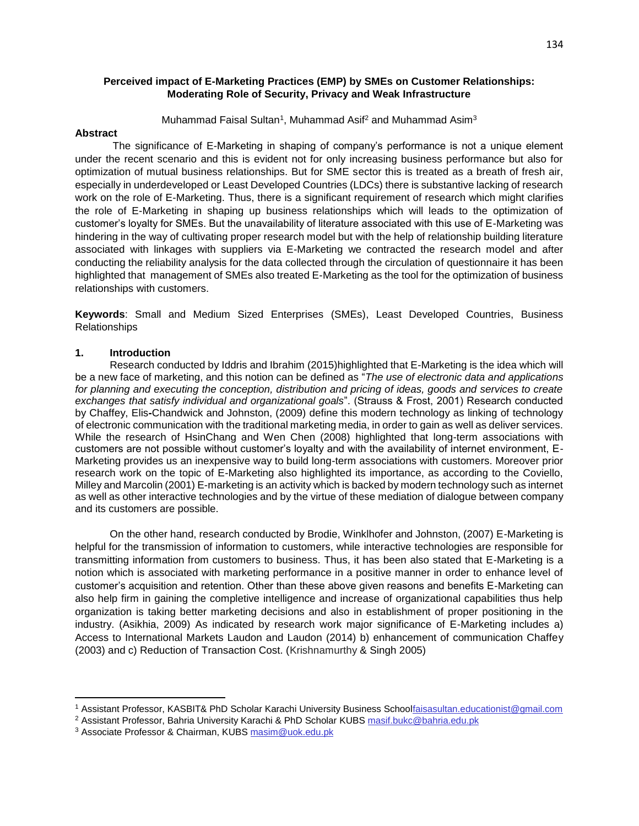## **Perceived impact of E-Marketing Practices (EMP) by SMEs on Customer Relationships: Moderating Role of Security, Privacy and Weak Infrastructure**

Muhammad Faisal Sultan<sup>1</sup>, Muhammad Asif<sup>2</sup> and Muhammad Asim<sup>3</sup>

#### **Abstract**

 The significance of E-Marketing in shaping of company's performance is not a unique element under the recent scenario and this is evident not for only increasing business performance but also for optimization of mutual business relationships. But for SME sector this is treated as a breath of fresh air, especially in underdeveloped or Least Developed Countries (LDCs) there is substantive lacking of research work on the role of E-Marketing. Thus, there is a significant requirement of research which might clarifies the role of E-Marketing in shaping up business relationships which will leads to the optimization of customer's loyalty for SMEs. But the unavailability of literature associated with this use of E-Marketing was hindering in the way of cultivating proper research model but with the help of relationship building literature associated with linkages with suppliers via E-Marketing we contracted the research model and after conducting the reliability analysis for the data collected through the circulation of questionnaire it has been highlighted that management of SMEs also treated E-Marketing as the tool for the optimization of business relationships with customers.

**Keywords**: Small and Medium Sized Enterprises (SMEs), Least Developed Countries, Business Relationships

### **1. Introduction**

 $\overline{\phantom{a}}$ 

 Research conducted by Iddris and Ibrahim (2015)highlighted that E-Marketing is the idea which will be a new face of marketing, and this notion can be defined as "*The use of electronic data and applications for planning and executing the conception, distribution and pricing of ideas, goods and services to create exchanges that satisfy individual and organizational goals*". (Strauss & Frost, 2001) Research conducted by Chaffey, Elis**-**Chandwick and Johnston, (2009) define this modern technology as linking of technology of electronic communication with the traditional marketing media, in order to gain as well as deliver services. While the research of HsinChang and Wen Chen (2008) highlighted that long-term associations with customers are not possible without customer's loyalty and with the availability of internet environment, E-Marketing provides us an inexpensive way to build long-term associations with customers. Moreover prior research work on the topic of E-Marketing also highlighted its importance, as according to the Coviello, Milley and Marcolin (2001) E-marketing is an activity which is backed by modern technology such as internet as well as other interactive technologies and by the virtue of these mediation of dialogue between company and its customers are possible.

 On the other hand, research conducted by Brodie, Winklhofer and Johnston, (2007) E-Marketing is helpful for the transmission of information to customers, while interactive technologies are responsible for transmitting information from customers to business. Thus, it has been also stated that E-Marketing is a notion which is associated with marketing performance in a positive manner in order to enhance level of customer's acquisition and retention. Other than these above given reasons and benefits E-Marketing can also help firm in gaining the completive intelligence and increase of organizational capabilities thus help organization is taking better marketing decisions and also in establishment of proper positioning in the industry. (Asikhia, 2009) As indicated by research work major significance of E-Marketing includes a) Access to International Markets Laudon and Laudon (2014) b) enhancement of communication Chaffey (2003) and c) Reduction of Transaction Cost. (Krishnamurthy & Singh 2005)

<sup>1</sup> Assistant Professor, KASBIT& PhD Scholar Karachi University Business Schoolfaisasultan.educationist@gmail.com

<sup>2</sup> Assistant Professor, Bahria University Karachi & PhD Scholar KUBS masif.bukc@bahria.edu.pk

<sup>3</sup> Associate Professor & Chairman, KUBS masim@uok.edu.pk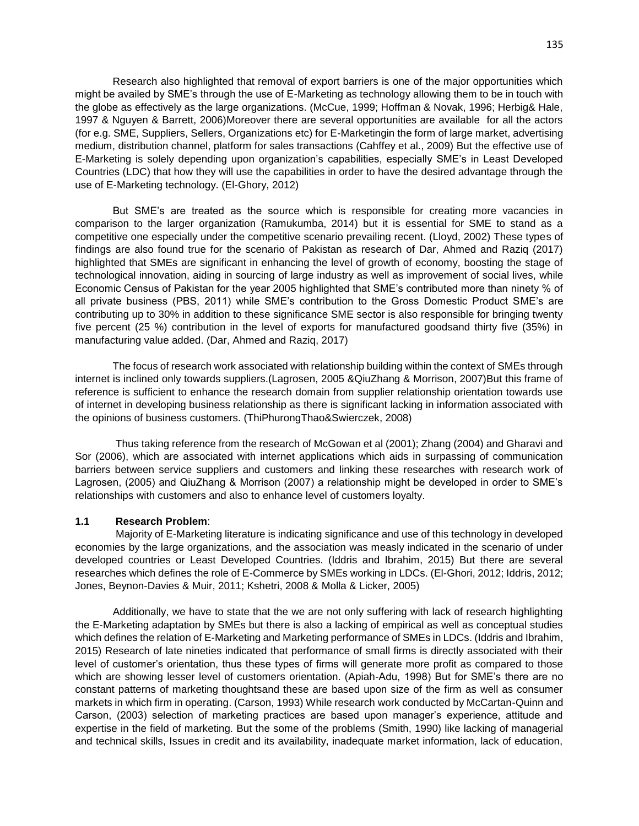Research also highlighted that removal of export barriers is one of the major opportunities which might be availed by SME's through the use of E-Marketing as technology allowing them to be in touch with the globe as effectively as the large organizations. (McCue, 1999; Hoffman & Novak, 1996; Herbig& Hale, 1997 & Nguyen & Barrett, 2006)Moreover there are several opportunities are available for all the actors (for e.g. SME, Suppliers, Sellers, Organizations etc) for E-Marketingin the form of large market, advertising medium, distribution channel, platform for sales transactions (Cahffey et al., 2009) But the effective use of E-Marketing is solely depending upon organization's capabilities, especially SME's in Least Developed Countries (LDC) that how they will use the capabilities in order to have the desired advantage through the use of E-Marketing technology. (El-Ghory, 2012)

 But SME's are treated as the source which is responsible for creating more vacancies in comparison to the larger organization (Ramukumba, 2014) but it is essential for SME to stand as a competitive one especially under the competitive scenario prevailing recent. (Lloyd, 2002) These types of findings are also found true for the scenario of Pakistan as research of Dar, Ahmed and Raziq (2017) highlighted that SMEs are significant in enhancing the level of growth of economy, boosting the stage of technological innovation, aiding in sourcing of large industry as well as improvement of social lives, while Economic Census of Pakistan for the year 2005 highlighted that SME's contributed more than ninety % of all private business (PBS, 2011) while SME's contribution to the Gross Domestic Product SME's are contributing up to 30% in addition to these significance SME sector is also responsible for bringing twenty five percent (25 %) contribution in the level of exports for manufactured goodsand thirty five (35%) in manufacturing value added. (Dar, Ahmed and Raziq, 2017)

 The focus of research work associated with relationship building within the context of SMEs through internet is inclined only towards suppliers.(Lagrosen, 2005 &QiuZhang & Morrison, 2007)But this frame of reference is sufficient to enhance the research domain from supplier relationship orientation towards use of internet in developing business relationship as there is significant lacking in information associated with the opinions of business customers. (ThiPhurongThao&Swierczek, 2008)

 Thus taking reference from the research of McGowan et al (2001); Zhang (2004) and Gharavi and Sor (2006), which are associated with internet applications which aids in surpassing of communication barriers between service suppliers and customers and linking these researches with research work of Lagrosen, (2005) and QiuZhang & Morrison (2007) a relationship might be developed in order to SME's relationships with customers and also to enhance level of customers loyalty.

#### **1.1 Research Problem**:

 Majority of E-Marketing literature is indicating significance and use of this technology in developed economies by the large organizations, and the association was measly indicated in the scenario of under developed countries or Least Developed Countries. (Iddris and Ibrahim, 2015) But there are several researches which defines the role of E-Commerce by SMEs working in LDCs. (El-Ghori, 2012; Iddris, 2012; Jones, Beynon-Davies & Muir, 2011; Kshetri, 2008 & Molla & Licker, 2005)

 Additionally, we have to state that the we are not only suffering with lack of research highlighting the E-Marketing adaptation by SMEs but there is also a lacking of empirical as well as conceptual studies which defines the relation of E-Marketing and Marketing performance of SMEs in LDCs. (Iddris and Ibrahim, 2015) Research of late nineties indicated that performance of small firms is directly associated with their level of customer's orientation, thus these types of firms will generate more profit as compared to those which are showing lesser level of customers orientation. (Apiah-Adu, 1998) But for SME's there are no constant patterns of marketing thoughtsand these are based upon size of the firm as well as consumer markets in which firm in operating. (Carson, 1993) While research work conducted by McCartan-Quinn and Carson, (2003) selection of marketing practices are based upon manager's experience, attitude and expertise in the field of marketing. But the some of the problems (Smith, 1990) like lacking of managerial and technical skills, Issues in credit and its availability, inadequate market information, lack of education,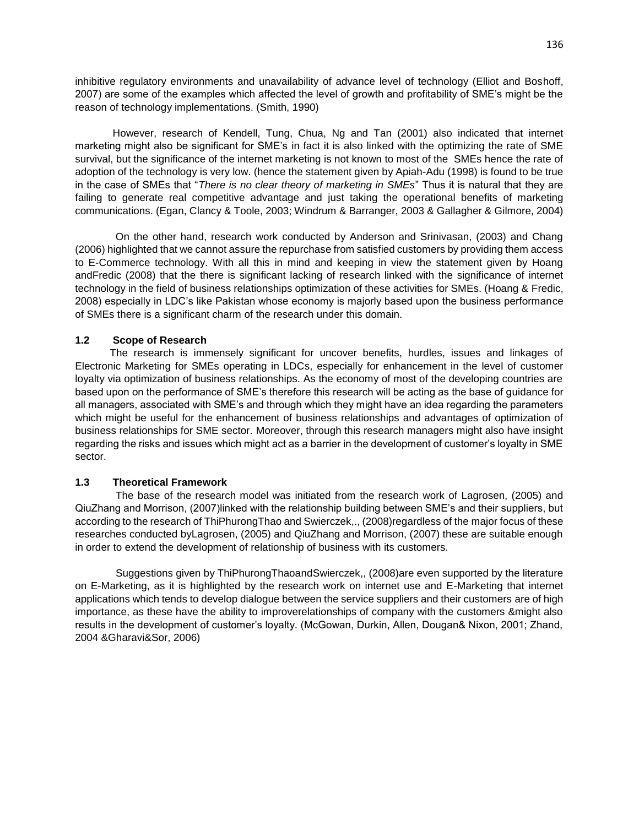inhibitive regulatory environments and unavailability of advance level of technology (Elliot and Boshoff, 2007) are some of the examples which affected the level of growth and profitability of SME's might be the reason of technology implementations. (Smith, 1990)

 However, research of Kendell, Tung, Chua, Ng and Tan (2001) also indicated that internet marketing might also be significant for SME's in fact it is also linked with the optimizing the rate of SME survival, but the significance of the internet marketing is not known to most of the SMEs hence the rate of adoption of the technology is very low. (hence the statement given by Apiah-Adu (1998) is found to be true in the case of SMEs that "*There is no clear theory of marketing in SMEs*" Thus it is natural that they are failing to generate real competitive advantage and just taking the operational benefits of marketing communications. (Egan, Clancy & Toole, 2003; Windrum & Barranger, 2003 & Gallagher & Gilmore, 2004)

 On the other hand, research work conducted by Anderson and Srinivasan, (2003) and Chang (2006) highlighted that we cannot assure the repurchase from satisfied customers by providing them access to E-Commerce technology. With all this in mind and keeping in view the statement given by Hoang andFredic (2008) that the there is significant lacking of research linked with the significance of internet technology in the field of business relationships optimization of these activities for SMEs. (Hoang & Fredic, 2008) especially in LDC's like Pakistan whose economy is majorly based upon the business performance of SMEs there is a significant charm of the research under this domain.

# **1.2 Scope of Research**

 The research is immensely significant for uncover benefits, hurdles, issues and linkages of Electronic Marketing for SMEs operating in LDCs, especially for enhancement in the level of customer loyalty via optimization of business relationships. As the economy of most of the developing countries are based upon on the performance of SME's therefore this research will be acting as the base of guidance for all managers, associated with SME's and through which they might have an idea regarding the parameters which might be useful for the enhancement of business relationships and advantages of optimization of business relationships for SME sector. Moreover, through this research managers might also have insight regarding the risks and issues which might act as a barrier in the development of customer's loyalty in SME sector.

## **1.3 Theoretical Framework**

 The base of the research model was initiated from the research work of Lagrosen, (2005) and QiuZhang and Morrison, (2007)linked with the relationship building between SME's and their suppliers, but according to the research of ThiPhurongThao and Swierczek,., (2008)regardless of the major focus of these researches conducted byLagrosen, (2005) and QiuZhang and Morrison, (2007) these are suitable enough in order to extend the development of relationship of business with its customers.

 Suggestions given by ThiPhurongThaoandSwierczek,, (2008)are even supported by the literature on E-Marketing, as it is highlighted by the research work on internet use and E-Marketing that internet applications which tends to develop dialogue between the service suppliers and their customers are of high importance, as these have the ability to improverelationships of company with the customers &might also results in the development of customer's loyalty. (McGowan, Durkin, Allen, Dougan& Nixon, 2001; Zhand, 2004 &Gharavi&Sor, 2006)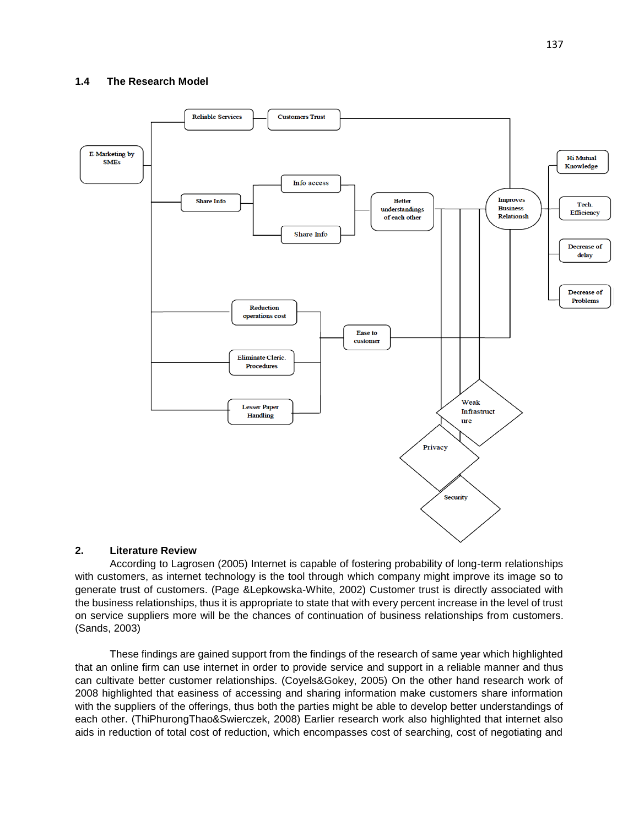

## **2. Literature Review**

 According to Lagrosen (2005) Internet is capable of fostering probability of long-term relationships with customers, as internet technology is the tool through which company might improve its image so to generate trust of customers. (Page &Lepkowska-White, 2002) Customer trust is directly associated with the business relationships, thus it is appropriate to state that with every percent increase in the level of trust on service suppliers more will be the chances of continuation of business relationships from customers. (Sands, 2003)

 These findings are gained support from the findings of the research of same year which highlighted that an online firm can use internet in order to provide service and support in a reliable manner and thus can cultivate better customer relationships. (Coyels&Gokey, 2005) On the other hand research work of 2008 highlighted that easiness of accessing and sharing information make customers share information with the suppliers of the offerings, thus both the parties might be able to develop better understandings of each other. (ThiPhurongThao&Swierczek, 2008) Earlier research work also highlighted that internet also aids in reduction of total cost of reduction, which encompasses cost of searching, cost of negotiating and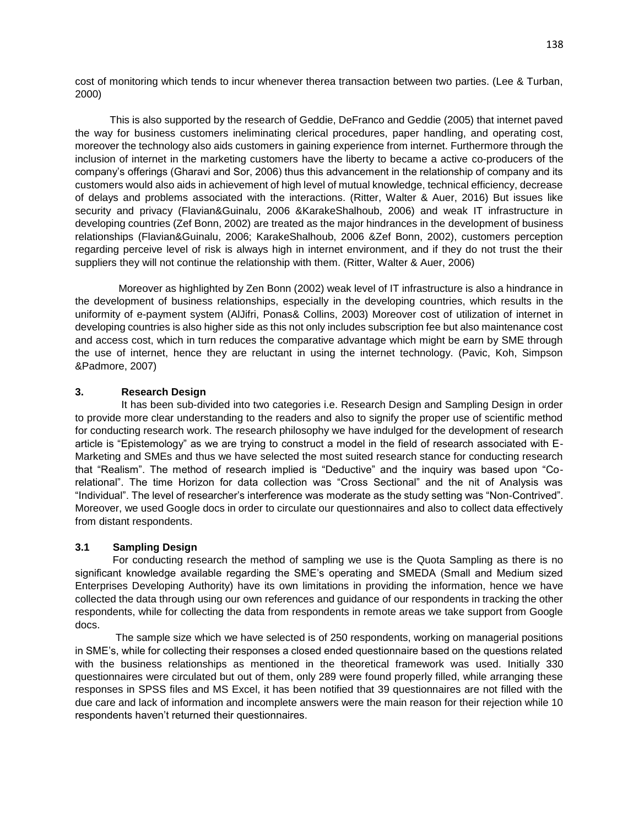cost of monitoring which tends to incur whenever therea transaction between two parties. (Lee & Turban, 2000)

 This is also supported by the research of Geddie, DeFranco and Geddie (2005) that internet paved the way for business customers ineliminating clerical procedures, paper handling, and operating cost, moreover the technology also aids customers in gaining experience from internet. Furthermore through the inclusion of internet in the marketing customers have the liberty to became a active co-producers of the company's offerings (Gharavi and Sor, 2006) thus this advancement in the relationship of company and its customers would also aids in achievement of high level of mutual knowledge, technical efficiency, decrease of delays and problems associated with the interactions. (Ritter, Walter & Auer, 2016) But issues like security and privacy (Flavian&Guinalu, 2006 &KarakeShalhoub, 2006) and weak IT infrastructure in developing countries (Zef Bonn, 2002) are treated as the major hindrances in the development of business relationships (Flavian&Guinalu, 2006; KarakeShalhoub, 2006 &Zef Bonn, 2002), customers perception regarding perceive level of risk is always high in internet environment, and if they do not trust the their suppliers they will not continue the relationship with them. (Ritter, Walter & Auer, 2006)

 Moreover as highlighted by Zen Bonn (2002) weak level of IT infrastructure is also a hindrance in the development of business relationships, especially in the developing countries, which results in the uniformity of e-payment system (AlJifri, Ponas& Collins, 2003) Moreover cost of utilization of internet in developing countries is also higher side as this not only includes subscription fee but also maintenance cost and access cost, which in turn reduces the comparative advantage which might be earn by SME through the use of internet, hence they are reluctant in using the internet technology. (Pavic, Koh, Simpson &Padmore, 2007)

## **3. Research Design**

 It has been sub-divided into two categories i.e. Research Design and Sampling Design in order to provide more clear understanding to the readers and also to signify the proper use of scientific method for conducting research work. The research philosophy we have indulged for the development of research article is "Epistemology" as we are trying to construct a model in the field of research associated with E-Marketing and SMEs and thus we have selected the most suited research stance for conducting research that "Realism". The method of research implied is "Deductive" and the inquiry was based upon "Corelational". The time Horizon for data collection was "Cross Sectional" and the nit of Analysis was "Individual". The level of researcher's interference was moderate as the study setting was "Non-Contrived". Moreover, we used Google docs in order to circulate our questionnaires and also to collect data effectively from distant respondents.

## **3.1 Sampling Design**

 For conducting research the method of sampling we use is the Quota Sampling as there is no significant knowledge available regarding the SME's operating and SMEDA (Small and Medium sized Enterprises Developing Authority) have its own limitations in providing the information, hence we have collected the data through using our own references and guidance of our respondents in tracking the other respondents, while for collecting the data from respondents in remote areas we take support from Google docs.

 The sample size which we have selected is of 250 respondents, working on managerial positions in SME's, while for collecting their responses a closed ended questionnaire based on the questions related with the business relationships as mentioned in the theoretical framework was used. Initially 330 questionnaires were circulated but out of them, only 289 were found properly filled, while arranging these responses in SPSS files and MS Excel, it has been notified that 39 questionnaires are not filled with the due care and lack of information and incomplete answers were the main reason for their rejection while 10 respondents haven't returned their questionnaires.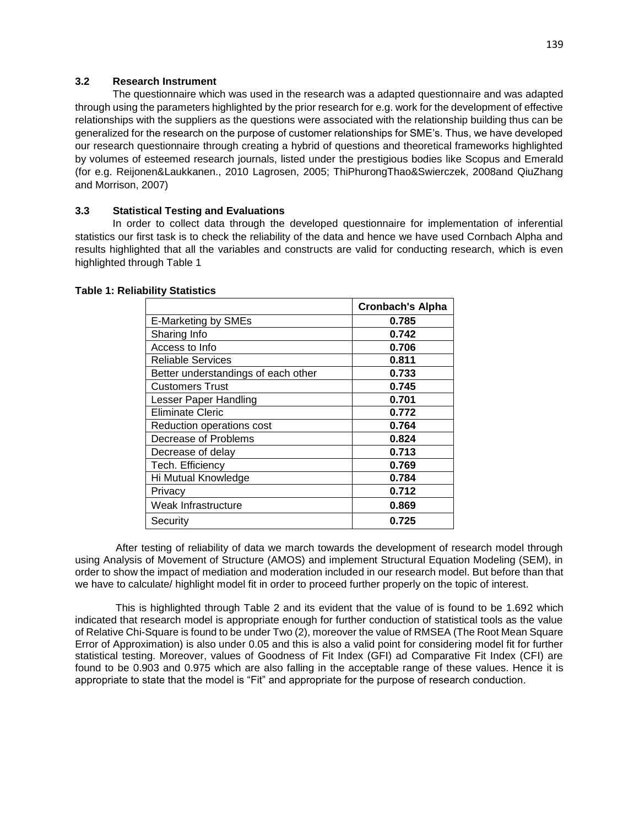## **3.2 Research Instrument**

 The questionnaire which was used in the research was a adapted questionnaire and was adapted through using the parameters highlighted by the prior research for e.g. work for the development of effective relationships with the suppliers as the questions were associated with the relationship building thus can be generalized for the research on the purpose of customer relationships for SME's. Thus, we have developed our research questionnaire through creating a hybrid of questions and theoretical frameworks highlighted by volumes of esteemed research journals, listed under the prestigious bodies like Scopus and Emerald (for e.g. Reijonen&Laukkanen., 2010 Lagrosen, 2005; ThiPhurongThao&Swierczek, 2008and QiuZhang and Morrison, 2007)

# **3.3 Statistical Testing and Evaluations**

 In order to collect data through the developed questionnaire for implementation of inferential statistics our first task is to check the reliability of the data and hence we have used Cornbach Alpha and results highlighted that all the variables and constructs are valid for conducting research, which is even highlighted through Table 1

|                                     | <b>Cronbach's Alpha</b> |
|-------------------------------------|-------------------------|
| E-Marketing by SMEs                 | 0.785                   |
| Sharing Info                        | 0.742                   |
| Access to Info                      | 0.706                   |
| Reliable Services                   | 0.811                   |
| Better understandings of each other | 0.733                   |
| <b>Customers Trust</b>              | 0.745                   |
| Lesser Paper Handling               | 0.701                   |
| <b>Eliminate Cleric</b>             | 0.772                   |
| Reduction operations cost           | 0.764                   |
| Decrease of Problems                | 0.824                   |
| Decrease of delay                   | 0.713                   |
| Tech. Efficiency                    | 0.769                   |
| Hi Mutual Knowledge                 | 0.784                   |
| Privacy                             | 0.712                   |
| Weak Infrastructure                 | 0.869                   |
| Security                            | 0.725                   |

### **Table 1: Reliability Statistics**

 After testing of reliability of data we march towards the development of research model through using Analysis of Movement of Structure (AMOS) and implement Structural Equation Modeling (SEM), in order to show the impact of mediation and moderation included in our research model. But before than that we have to calculate/ highlight model fit in order to proceed further properly on the topic of interest.

 This is highlighted through Table 2 and its evident that the value of is found to be 1.692 which indicated that research model is appropriate enough for further conduction of statistical tools as the value of Relative Chi-Square is found to be under Two (2), moreover the value of RMSEA (The Root Mean Square Error of Approximation) is also under 0.05 and this is also a valid point for considering model fit for further statistical testing. Moreover, values of Goodness of Fit Index (GFI) ad Comparative Fit Index (CFI) are found to be 0.903 and 0.975 which are also falling in the acceptable range of these values. Hence it is appropriate to state that the model is "Fit" and appropriate for the purpose of research conduction.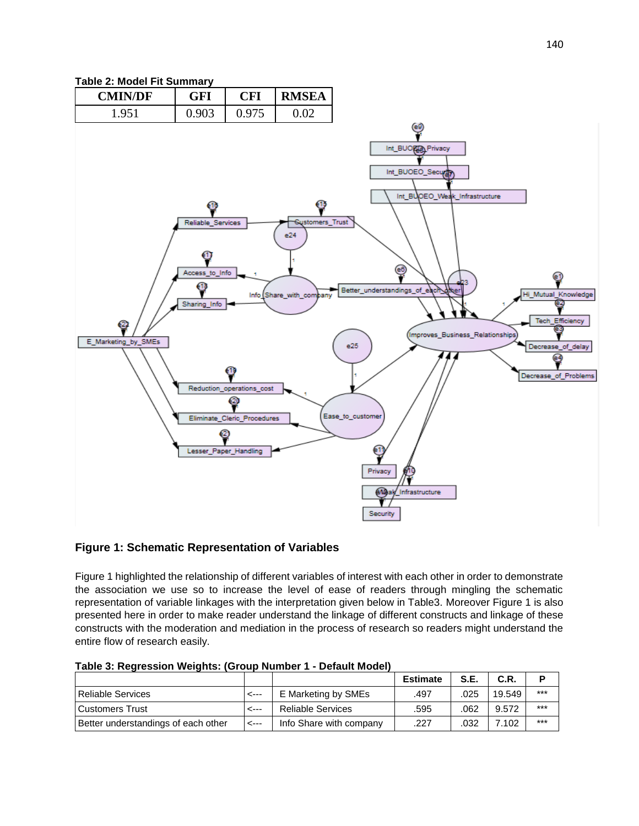# **Table 2: Model Fit Summary**



# **Figure 1: Schematic Representation of Variables**

Figure 1 highlighted the relationship of different variables of interest with each other in order to demonstrate the association we use so to increase the level of ease of readers through mingling the schematic representation of variable linkages with the interpretation given below in Table3. Moreover Figure 1 is also presented here in order to make reader understand the linkage of different constructs and linkage of these constructs with the moderation and mediation in the process of research so readers might understand the entire flow of research easily.

|                                     |      |                          | <b>Estimate</b> | <b>S.E.</b> | C.R.   |       |
|-------------------------------------|------|--------------------------|-----------------|-------------|--------|-------|
| <b>Reliable Services</b>            | <--- | E Marketing by SMEs      | .497            | .025        | 19.549 | $***$ |
| Customers Trust                     | ---> | <b>Reliable Services</b> | .595            | .062        | 9.572  | $***$ |
| Better understandings of each other | <--- | Info Share with company  | .227            | 032         | 7.102  | $***$ |

**Table 3: Regression Weights: (Group Number 1 - Default Model)**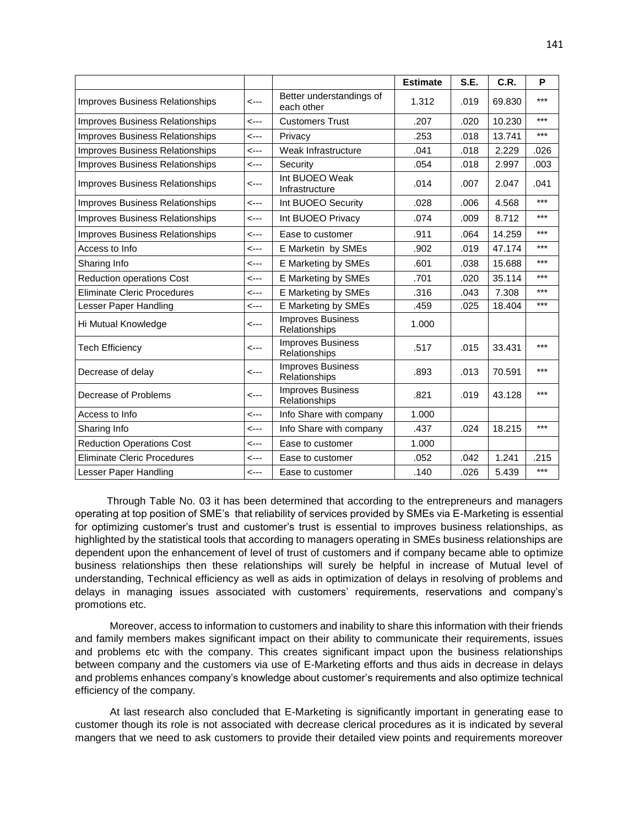|                                        |      |                                           | <b>Estimate</b> | S.E. | C.R.   | P     |
|----------------------------------------|------|-------------------------------------------|-----------------|------|--------|-------|
| <b>Improves Business Relationships</b> | <--- | Better understandings of<br>each other    | 1.312           | .019 | 69.830 | ***   |
| Improves Business Relationships        | <--- | <b>Customers Trust</b>                    | .207            | .020 | 10.230 | $***$ |
| Improves Business Relationships        | <--- | Privacy                                   | .253            | .018 | 13.741 | ***   |
| <b>Improves Business Relationships</b> | <--- | Weak Infrastructure                       | .041            | .018 | 2.229  | .026  |
| Improves Business Relationships        | <--- | Security                                  | .054            | .018 | 2.997  | .003  |
| <b>Improves Business Relationships</b> | <--- | Int BUOEO Weak<br>Infrastructure          | .014            | .007 | 2.047  | .041  |
| Improves Business Relationships        | <--- | Int BUOEO Security                        | .028            | .006 | 4.568  | ***   |
| Improves Business Relationships        | <--- | Int BUOEO Privacy                         | .074            | .009 | 8.712  | ***   |
| Improves Business Relationships        | <--- | Ease to customer                          | .911            | .064 | 14.259 | ***   |
| Access to Info                         | <--- | E Marketin by SMEs                        | .902            | .019 | 47.174 | ***   |
| Sharing Info                           | <--- | E Marketing by SMEs                       | .601            | .038 | 15.688 | ***   |
| <b>Reduction operations Cost</b>       | <--- | E Marketing by SMEs                       | .701            | .020 | 35.114 | ***   |
| Eliminate Cleric Procedures            | <--- | E Marketing by SMEs                       | .316            | .043 | 7.308  | ***   |
| Lesser Paper Handling                  | <--- | E Marketing by SMEs                       | .459            | .025 | 18.404 | $***$ |
| Hi Mutual Knowledge                    | <--- | <b>Improves Business</b><br>Relationships | 1.000           |      |        |       |
| <b>Tech Efficiency</b>                 | <--- | <b>Improves Business</b><br>Relationships | .517            | .015 | 33.431 | $***$ |
| Decrease of delay                      | <--- | <b>Improves Business</b><br>Relationships | .893            | .013 | 70.591 | ***   |
| Decrease of Problems                   | <--- | <b>Improves Business</b><br>Relationships | .821            | .019 | 43.128 | ***   |
| Access to Info                         | <--- | Info Share with company                   | 1.000           |      |        |       |
| Sharing Info                           | <--- | Info Share with company                   | .437            | .024 | 18.215 | $***$ |
| <b>Reduction Operations Cost</b>       | <--- | Ease to customer                          | 1.000           |      |        |       |
| <b>Eliminate Cleric Procedures</b>     | <--- | Ease to customer                          | .052            | .042 | 1.241  | .215  |
| Lesser Paper Handling                  | <--- | Ease to customer                          | .140            | .026 | 5.439  | $***$ |

 Through Table No. 03 it has been determined that according to the entrepreneurs and managers operating at top position of SME's that reliability of services provided by SMEs via E-Marketing is essential for optimizing customer's trust and customer's trust is essential to improves business relationships, as highlighted by the statistical tools that according to managers operating in SMEs business relationships are dependent upon the enhancement of level of trust of customers and if company became able to optimize business relationships then these relationships will surely be helpful in increase of Mutual level of understanding, Technical efficiency as well as aids in optimization of delays in resolving of problems and delays in managing issues associated with customers' requirements, reservations and company's promotions etc.

 Moreover, access to information to customers and inability to share this information with their friends and family members makes significant impact on their ability to communicate their requirements, issues and problems etc with the company. This creates significant impact upon the business relationships between company and the customers via use of E-Marketing efforts and thus aids in decrease in delays and problems enhances company's knowledge about customer's requirements and also optimize technical efficiency of the company.

 At last research also concluded that E-Marketing is significantly important in generating ease to customer though its role is not associated with decrease clerical procedures as it is indicated by several mangers that we need to ask customers to provide their detailed view points and requirements moreover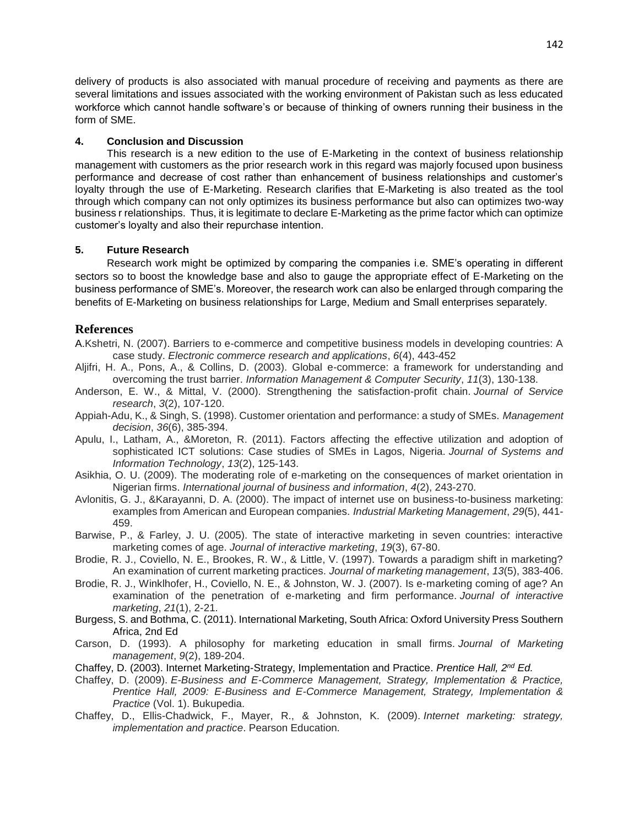delivery of products is also associated with manual procedure of receiving and payments as there are several limitations and issues associated with the working environment of Pakistan such as less educated workforce which cannot handle software's or because of thinking of owners running their business in the form of SME.

### **4. Conclusion and Discussion**

 This research is a new edition to the use of E-Marketing in the context of business relationship management with customers as the prior research work in this regard was majorly focused upon business performance and decrease of cost rather than enhancement of business relationships and customer's loyalty through the use of E-Marketing. Research clarifies that E-Marketing is also treated as the tool through which company can not only optimizes its business performance but also can optimizes two-way business r relationships. Thus, it is legitimate to declare E-Marketing as the prime factor which can optimize customer's loyalty and also their repurchase intention.

## **5. Future Research**

 Research work might be optimized by comparing the companies i.e. SME's operating in different sectors so to boost the knowledge base and also to gauge the appropriate effect of E-Marketing on the business performance of SME's. Moreover, the research work can also be enlarged through comparing the benefits of E-Marketing on business relationships for Large, Medium and Small enterprises separately.

## **References**

- A.Kshetri, N. (2007). Barriers to e-commerce and competitive business models in developing countries: A case study. *Electronic commerce research and applications*, *6*(4), 443-452
- Aljifri, H. A., Pons, A., & Collins, D. (2003). Global e-commerce: a framework for understanding and overcoming the trust barrier. *Information Management & Computer Security*, *11*(3), 130-138.
- Anderson, E. W., & Mittal, V. (2000). Strengthening the satisfaction-profit chain. *Journal of Service research*, *3*(2), 107-120.
- Appiah-Adu, K., & Singh, S. (1998). Customer orientation and performance: a study of SMEs. *Management decision*, *36*(6), 385-394.
- Apulu, I., Latham, A., &Moreton, R. (2011). Factors affecting the effective utilization and adoption of sophisticated ICT solutions: Case studies of SMEs in Lagos, Nigeria. *Journal of Systems and Information Technology*, *13*(2), 125-143.
- Asikhia, O. U. (2009). The moderating role of e-marketing on the consequences of market orientation in Nigerian firms. *International journal of business and information*, *4*(2), 243-270.
- Avlonitis, G. J., &Karayanni, D. A. (2000). The impact of internet use on business-to-business marketing: examples from American and European companies. *Industrial Marketing Management*, *29*(5), 441- 459.
- Barwise, P., & Farley, J. U. (2005). The state of interactive marketing in seven countries: interactive marketing comes of age. *Journal of interactive marketing*, *19*(3), 67-80.
- Brodie, R. J., Coviello, N. E., Brookes, R. W., & Little, V. (1997). Towards a paradigm shift in marketing? An examination of current marketing practices. *Journal of marketing management*, *13*(5), 383-406.
- Brodie, R. J., Winklhofer, H., Coviello, N. E., & Johnston, W. J. (2007). Is e-marketing coming of age? An examination of the penetration of e‐marketing and firm performance. *Journal of interactive marketing*, *21*(1), 2-21.
- Burgess, S. and Bothma, C. (2011). International Marketing, South Africa: Oxford University Press Southern Africa, 2nd Ed
- Carson, D. (1993). A philosophy for marketing education in small firms. *Journal of Marketing management*, *9*(2), 189-204.
- Chaffey, D. (2003). Internet Marketing-Strategy, Implementation and Practice. *Prentice Hall, 2nd Ed.*
- Chaffey, D. (2009). *E-Business and E-Commerce Management, Strategy, Implementation & Practice, Prentice Hall, 2009: E-Business and E-Commerce Management, Strategy, Implementation & Practice* (Vol. 1). Bukupedia.
- Chaffey, D., Ellis-Chadwick, F., Mayer, R., & Johnston, K. (2009). *Internet marketing: strategy, implementation and practice*. Pearson Education.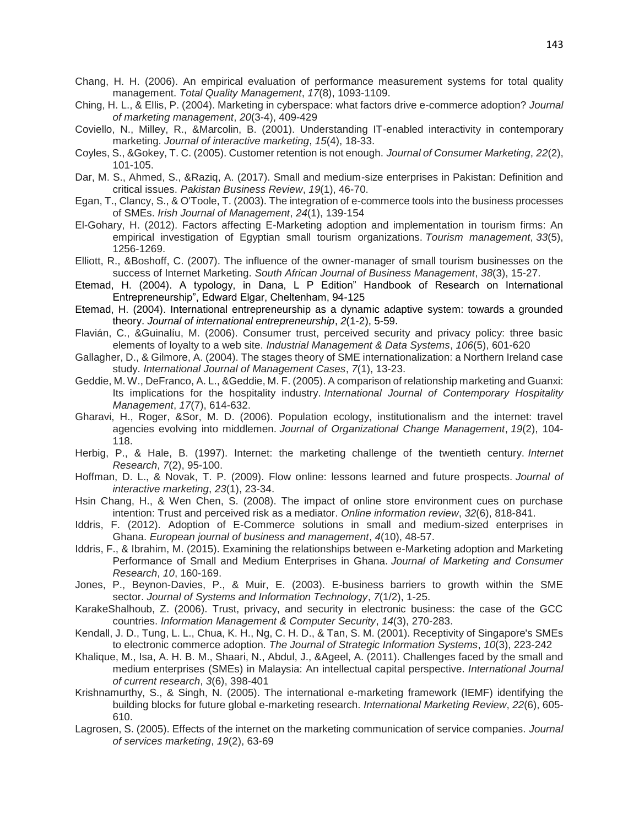- Chang, H. H. (2006). An empirical evaluation of performance measurement systems for total quality management. *Total Quality Management*, *17*(8), 1093-1109.
- Ching, H. L., & Ellis, P. (2004). Marketing in cyberspace: what factors drive e-commerce adoption? *Journal of marketing management*, *20*(3-4), 409-429
- Coviello, N., Milley, R., &Marcolin, B. (2001). Understanding IT-enabled interactivity in contemporary marketing. *Journal of interactive marketing*, *15*(4), 18-33.
- Coyles, S., &Gokey, T. C. (2005). Customer retention is not enough. *Journal of Consumer Marketing*, *22*(2), 101-105.
- Dar, M. S., Ahmed, S., &Raziq, A. (2017). Small and medium-size enterprises in Pakistan: Definition and critical issues. *Pakistan Business Review*, *19*(1), 46-70.
- Egan, T., Clancy, S., & O'Toole, T. (2003). The integration of e-commerce tools into the business processes of SMEs. *Irish Journal of Management*, *24*(1), 139-154
- El-Gohary, H. (2012). Factors affecting E-Marketing adoption and implementation in tourism firms: An empirical investigation of Egyptian small tourism organizations. *Tourism management*, *33*(5), 1256-1269.
- Elliott, R., &Boshoff, C. (2007). The influence of the owner-manager of small tourism businesses on the success of Internet Marketing. *South African Journal of Business Management*, *38*(3), 15-27.
- Etemad, H. (2004). A typology, in Dana, L P Edition" Handbook of Research on International Entrepreneurship", Edward Elgar, Cheltenham, 94-125
- Etemad, H. (2004). International entrepreneurship as a dynamic adaptive system: towards a grounded theory. *Journal of international entrepreneurship*, *2*(1-2), 5-59.
- Flavián, C., &Guinalíu, M. (2006). Consumer trust, perceived security and privacy policy: three basic elements of loyalty to a web site. *Industrial Management & Data Systems*, *106*(5), 601-620
- Gallagher, D., & Gilmore, A. (2004). The stages theory of SME internationalization: a Northern Ireland case study. *International Journal of Management Cases*, *7*(1), 13-23.
- Geddie, M. W., DeFranco, A. L., &Geddie, M. F. (2005). A comparison of relationship marketing and Guanxi: Its implications for the hospitality industry. *International Journal of Contemporary Hospitality Management*, *17*(7), 614-632.
- Gharavi, H., Roger, &Sor, M. D. (2006). Population ecology, institutionalism and the internet: travel agencies evolving into middlemen. *Journal of Organizational Change Management*, *19*(2), 104- 118.
- Herbig, P., & Hale, B. (1997). Internet: the marketing challenge of the twentieth century. *Internet Research*, *7*(2), 95-100.
- Hoffman, D. L., & Novak, T. P. (2009). Flow online: lessons learned and future prospects. *Journal of interactive marketing*, *23*(1), 23-34.
- Hsin Chang, H., & Wen Chen, S. (2008). The impact of online store environment cues on purchase intention: Trust and perceived risk as a mediator. *Online information review*, *32*(6), 818-841.
- Iddris, F. (2012). Adoption of E-Commerce solutions in small and medium-sized enterprises in Ghana. *European journal of business and management*, *4*(10), 48-57.
- Iddris, F., & Ibrahim, M. (2015). Examining the relationships between e-Marketing adoption and Marketing Performance of Small and Medium Enterprises in Ghana. *Journal of Marketing and Consumer Research*, *10*, 160-169.
- Jones, P., Beynon-Davies, P., & Muir, E. (2003). E-business barriers to growth within the SME sector. *Journal of Systems and Information Technology*, *7*(1/2), 1-25.
- KarakeShalhoub, Z. (2006). Trust, privacy, and security in electronic business: the case of the GCC countries. *Information Management & Computer Security*, *14*(3), 270-283.
- Kendall, J. D., Tung, L. L., Chua, K. H., Ng, C. H. D., & Tan, S. M. (2001). Receptivity of Singapore's SMEs to electronic commerce adoption. *The Journal of Strategic Information Systems*, *10*(3), 223-242
- Khalique, M., Isa, A. H. B. M., Shaari, N., Abdul, J., &Ageel, A. (2011). Challenges faced by the small and medium enterprises (SMEs) in Malaysia: An intellectual capital perspective. *International Journal of current research*, *3*(6), 398-401
- Krishnamurthy, S., & Singh, N. (2005). The international e-marketing framework (IEMF) identifying the building blocks for future global e-marketing research. *International Marketing Review*, *22*(6), 605- 610.
- Lagrosen, S. (2005). Effects of the internet on the marketing communication of service companies. *Journal of services marketing*, *19*(2), 63-69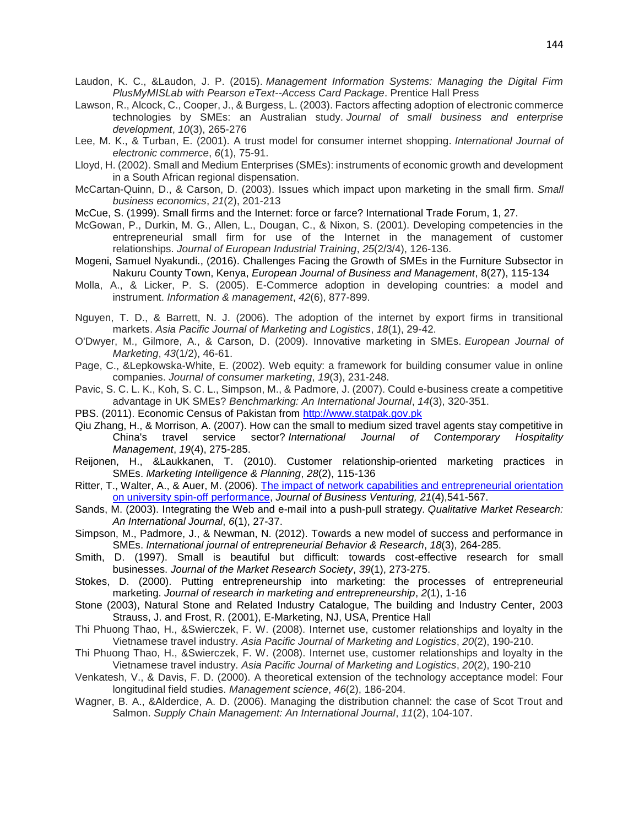- Laudon, K. C., &Laudon, J. P. (2015). *Management Information Systems: Managing the Digital Firm PlusMyMISLab with Pearson eText--Access Card Package*. Prentice Hall Press
- Lawson, R., Alcock, C., Cooper, J., & Burgess, L. (2003). Factors affecting adoption of electronic commerce technologies by SMEs: an Australian study. *Journal of small business and enterprise development*, *10*(3), 265-276
- Lee, M. K., & Turban, E. (2001). A trust model for consumer internet shopping. *International Journal of electronic commerce*, *6*(1), 75-91.
- Lloyd, H. (2002). Small and Medium Enterprises (SMEs): instruments of economic growth and development in a South African regional dispensation.
- McCartan-Quinn, D., & Carson, D. (2003). Issues which impact upon marketing in the small firm. *Small business economics*, *21*(2), 201-213
- McCue, S. (1999). Small firms and the Internet: force or farce? International Trade Forum, 1, 27.
- McGowan, P., Durkin, M. G., Allen, L., Dougan, C., & Nixon, S. (2001). Developing competencies in the entrepreneurial small firm for use of the Internet in the management of customer relationships. *Journal of European Industrial Training*, *25*(2/3/4), 126-136.
- Mogeni, Samuel Nyakundi., (2016). Challenges Facing the Growth of SMEs in the Furniture Subsector in Nakuru County Town, Kenya, *European Journal of Business and Management*, 8(27), 115-134
- Molla, A., & Licker, P. S. (2005). E-Commerce adoption in developing countries: a model and instrument. *Information & management*, *42*(6), 877-899.
- Nguyen, T. D., & Barrett, N. J. (2006). The adoption of the internet by export firms in transitional markets. *Asia Pacific Journal of Marketing and Logistics*, *18*(1), 29-42.
- O'Dwyer, M., Gilmore, A., & Carson, D. (2009). Innovative marketing in SMEs. *European Journal of Marketing*, *43*(1/2), 46-61.
- Page, C., &Lepkowska-White, E. (2002). Web equity: a framework for building consumer value in online companies. *Journal of consumer marketing*, *19*(3), 231-248.
- Pavic, S. C. L. K., Koh, S. C. L., Simpson, M., & Padmore, J. (2007). Could e-business create a competitive advantage in UK SMEs? *Benchmarking: An International Journal*, *14*(3), 320-351.
- PBS. (2011). Economic Census of Pakistan from [http://www.statpak.gov.pk](http://www.statpak.gov.pk/)
- Qiu Zhang, H., & Morrison, A. (2007). How can the small to medium sized travel agents stay competitive in China's travel service sector? *International Journal of Contemporary Hospitality Management*, *19*(4), 275-285.
- Reijonen, H., &Laukkanen, T. (2010). Customer relationship-oriented marketing practices in SMEs. *Marketing Intelligence & Planning*, *28*(2), 115-136
- Ritter, T., Walter, A., & Auer, M. (2006). The impact of network capabilities and entrepreneurial orientation [on university spin-off performance,](http://research.cbs.dk/en/publications/the-impact-of-network-capabilities-and-entrepreneurial-orientation-on-university-spinoff-performance(ec3ca670-f8ad-11db-9160-000ea68e967b).html) *Journal of Business Venturing, 21*(4),541-567.
- Sands, M. (2003). Integrating the Web and e-mail into a push-pull strategy. *Qualitative Market Research: An International Journal*, *6*(1), 27-37.
- Simpson, M., Padmore, J., & Newman, N. (2012). Towards a new model of success and performance in SMEs. *International journal of entrepreneurial Behavior & Research*, *18*(3), 264-285.
- Smith, D. (1997). Small is beautiful but difficult: towards cost-effective research for small businesses. *Journal of the Market Research Society*, *39*(1), 273-275.
- Stokes, D. (2000). Putting entrepreneurship into marketing: the processes of entrepreneurial marketing. *Journal of research in marketing and entrepreneurship*, *2*(1), 1-16
- Stone (2003), Natural Stone and Related Industry Catalogue, The building and Industry Center, 2003 Strauss, J. and Frost, R. (2001), E-Marketing, NJ, USA, Prentice Hall
- Thi Phuong Thao, H., &Swierczek, F. W. (2008). Internet use, customer relationships and loyalty in the Vietnamese travel industry. *Asia Pacific Journal of Marketing and Logistics*, *20*(2), 190-210.
- Thi Phuong Thao, H., &Swierczek, F. W. (2008). Internet use, customer relationships and loyalty in the Vietnamese travel industry. *Asia Pacific Journal of Marketing and Logistics*, *20*(2), 190-210
- Venkatesh, V., & Davis, F. D. (2000). A theoretical extension of the technology acceptance model: Four longitudinal field studies. *Management science*, *46*(2), 186-204.
- Wagner, B. A., &Alderdice, A. D. (2006). Managing the distribution channel: the case of Scot Trout and Salmon. *Supply Chain Management: An International Journal*, *11*(2), 104-107.